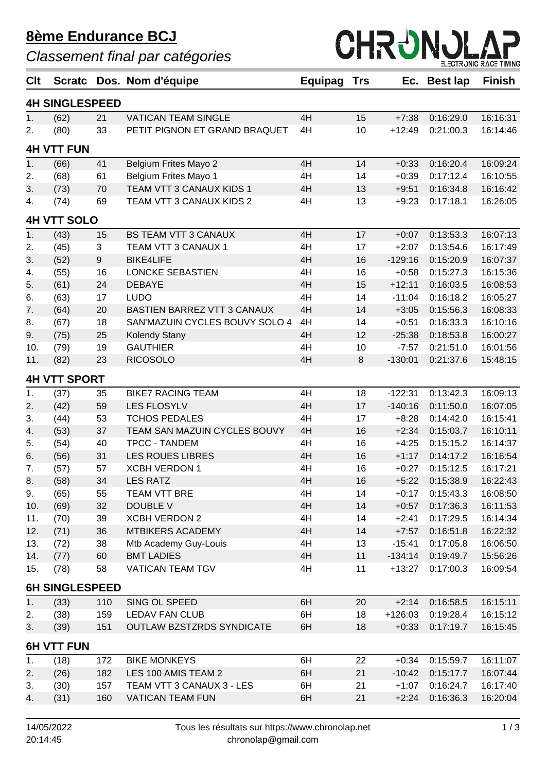## **8ème Endurance BCJ**

*Classement final par catégories*



| Cl <sub>t</sub>       | <b>Scratc</b>       |     | Dos. Nom d'équipe                | Equipag | Trs     | Ec.       | <b>Best lap</b>  | <b>Finish</b> |  |  |  |
|-----------------------|---------------------|-----|----------------------------------|---------|---------|-----------|------------------|---------------|--|--|--|
| <b>4H SINGLESPEED</b> |                     |     |                                  |         |         |           |                  |               |  |  |  |
| 1.                    | (62)                | 21  | <b>VATICAN TEAM SINGLE</b>       | 4H      | 15      | $+7:38$   | 0:16:29.0        | 16:16:31      |  |  |  |
| 2.                    | (80)                | 33  | PETIT PIGNON ET GRAND BRAQUET    | 4H      | 10      | $+12:49$  | 0:21:00.3        | 16:14:46      |  |  |  |
|                       | <b>4H VTT FUN</b>   |     |                                  |         |         |           |                  |               |  |  |  |
| 1.                    | (66)                | 41  | <b>Belgium Frites Mayo 2</b>     | 4H      | 14      | $+0:33$   | 0:16:20.4        | 16:09:24      |  |  |  |
| 2.                    | (68)                | 61  | Belgium Frites Mayo 1            | 4H      | 14      | $+0:39$   | 0:17:12.4        | 16:10:55      |  |  |  |
| 3.                    | (73)                | 70  | TEAM VTT 3 CANAUX KIDS 1         | 4H      | 13      | $+9:51$   | 0:16:34.8        | 16:16:42      |  |  |  |
| 4.                    | (74)                | 69  | TEAM VTT 3 CANAUX KIDS 2         | 4H      | 13      | $+9:23$   | 0:17:18.1        | 16:26:05      |  |  |  |
| <b>4H VTT SOLO</b>    |                     |     |                                  |         |         |           |                  |               |  |  |  |
| 1.                    | (43)                | 15  | <b>BS TEAM VTT 3 CANAUX</b>      | 4H      | 17      | $+0:07$   | 0:13:53.3        | 16:07:13      |  |  |  |
| 2.                    | (45)                | 3   | TEAM VTT 3 CANAUX 1              | 4H      | 17      | $+2:07$   | 0:13:54.6        | 16:17:49      |  |  |  |
| 3.                    | (52)                | 9   | <b>BIKE4LIFE</b>                 | 4H      | 16      | $-129:16$ | 0:15:20.9        | 16:07:37      |  |  |  |
| 4.                    | (55)                | 16  | <b>LONCKE SEBASTIEN</b>          | 4H      | 16      | $+0:58$   | 0:15:27.3        | 16:15:36      |  |  |  |
| 5.                    | (61)                | 24  | <b>DEBAYE</b>                    | 4H      | 15      | $+12:11$  | 0:16:03.5        | 16:08:53      |  |  |  |
| 6.                    | (63)                | 17  | <b>LUDO</b>                      | 4H      | 14      | $-11:04$  | 0:16:18.2        | 16:05:27      |  |  |  |
| 7.                    | (64)                | 20  | BASTIEN BARREZ VTT 3 CANAUX      | 4H      | 14      | $+3:05$   | 0:15:56.3        | 16:08:33      |  |  |  |
| 8.                    | (67)                | 18  | SAN'MAZUIN CYCLES BOUVY SOLO 4   | 4H      | 14      | $+0:51$   | 0:16:33.3        | 16:10:16      |  |  |  |
| 9.                    | (75)                | 25  | <b>Kolendy Stany</b>             | 4H      | 12      | $-25:38$  | 0:18:53.8        | 16:00:27      |  |  |  |
| 10.                   | (79)                | 19  | <b>GAUTHIER</b>                  | 4H      | 10      | $-7:57$   | 0:21:51.0        | 16:01:56      |  |  |  |
| 11.                   | (82)                | 23  | <b>RICOSOLO</b>                  | 4H      | $\,8\,$ | $-130:01$ | 0:21:37.6        | 15:48:15      |  |  |  |
|                       | <b>4H VTT SPORT</b> |     |                                  |         |         |           |                  |               |  |  |  |
| 1.                    | (37)                | 35  | <b>BIKE7 RACING TEAM</b>         | 4H      | 18      | $-122:31$ | 0:13:42.3        | 16:09:13      |  |  |  |
| 2.                    | (42)                | 59  | <b>LES FLOSYLV</b>               | 4H      | 17      | $-140:16$ | 0:11:50.0        | 16:07:05      |  |  |  |
| 3.                    | (44)                | 53  | <b>TCHOS PEDALES</b>             | 4H      | 17      | $+8:28$   | 0:14:42.0        | 16:15:41      |  |  |  |
| 4.                    | (53)                | 37  | TEAM SAN MAZUIN CYCLES BOUVY     | 4H      | 16      | $+2:34$   | 0:15:03.7        | 16:10:11      |  |  |  |
| 5.                    | (54)                | 40  | <b>TPCC - TANDEM</b>             | 4H      | 16      | $+4:25$   | 0:15:15.2        | 16:14:37      |  |  |  |
| 6.                    | (56)                | 31  | <b>LES ROUES LIBRES</b>          | 4H      | 16      | $+1:17$   | 0:14:17.2        | 16:16:54      |  |  |  |
| 7.                    | (57)                | 57  | <b>XCBH VERDON 1</b>             | 4H      | 16      | $+0:27$   | 0:15:12.5        | 16:17:21      |  |  |  |
| 8.                    | (58)                | 34  | <b>LES RATZ</b>                  | 4H      | 16      |           | +5:22  0:15:38.9 | 16:22:43      |  |  |  |
| 9.                    | (65)                | 55  | <b>TEAM VTT BRE</b>              | 4H      | 14      | $+0:17$   | 0:15:43.3        | 16:08:50      |  |  |  |
| 10.                   | (69)                | 32  | DOUBLE V                         | 4H      | 14      | $+0:57$   | 0:17:36.3        | 16:11:53      |  |  |  |
| 11.                   | (70)                | 39  | <b>XCBH VERDON 2</b>             | 4H      | 14      | $+2:41$   | 0:17:29.5        | 16:14:34      |  |  |  |
| 12.                   | (71)                | 36  | <b>MTBIKERS ACADEMY</b>          | 4H      | 14      | $+7:57$   | 0:16:51.8        | 16:22:32      |  |  |  |
| 13.                   | (72)                | 38  | Mtb Academy Guy-Louis            | 4H      | 13      | $-15:41$  | 0:17:05.8        | 16:06:50      |  |  |  |
| 14.                   | (77)                | 60  | <b>BMT LADIES</b>                | 4H      | 11      | $-134:14$ | 0:19:49.7        | 15:56:26      |  |  |  |
| 15.                   | (78)                | 58  | <b>VATICAN TEAM TGV</b>          | 4H      | 11      | $+13:27$  | 0:17:00.3        | 16:09:54      |  |  |  |
| <b>6H SINGLESPEED</b> |                     |     |                                  |         |         |           |                  |               |  |  |  |
| 1.                    | (33)                | 110 | SING OL SPEED                    | 6H      | 20      | $+2:14$   | 0:16:58.5        | 16:15:11      |  |  |  |
| 2.                    | (38)                | 159 | <b>LEDAV FAN CLUB</b>            | 6H      | 18      | $+126:03$ | 0:19:28.4        | 16:15:12      |  |  |  |
| 3.                    | (39)                | 151 | <b>OUTLAW BZSTZRDS SYNDICATE</b> | 6H      | 18      | $+0:33$   | 0:17:19.7        | 16:15:45      |  |  |  |
| <b>6H VTT FUN</b>     |                     |     |                                  |         |         |           |                  |               |  |  |  |
| 1.                    | (18)                | 172 | <b>BIKE MONKEYS</b>              | 6H      | 22      | $+0:34$   | 0:15:59.7        | 16:11:07      |  |  |  |
| 2.                    | (26)                | 182 | LES 100 AMIS TEAM 2              | 6H      | 21      | $-10:42$  | 0:15:17.7        | 16:07:44      |  |  |  |
| 3.                    | (30)                | 157 | TEAM VTT 3 CANAUX 3 - LES        | 6H      | 21      | $+1:07$   | 0:16:24.7        | 16:17:40      |  |  |  |
| 4.                    | (31)                | 160 | <b>VATICAN TEAM FUN</b>          | 6H      | 21      | $+2:24$   | 0:16:36.3        | 16:20:04      |  |  |  |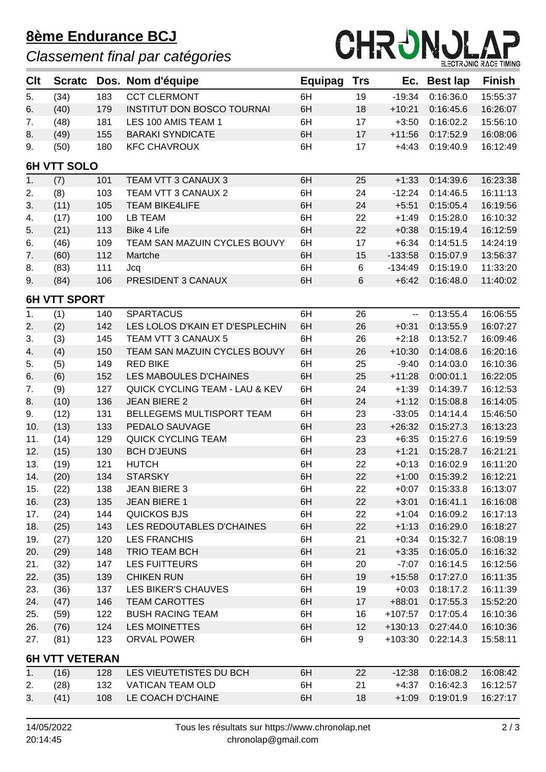## **8ème Endurance BCJ**

## *Classement final par catégories*



| Clt                   | <b>Scratc</b>      |     | Dos. Nom d'équipe                         | Equipag | <b>Trs</b> | Ec.                      | <b>Best lap</b> | <b>Finish</b> |  |
|-----------------------|--------------------|-----|-------------------------------------------|---------|------------|--------------------------|-----------------|---------------|--|
| 5.                    | (34)               | 183 | <b>CCT CLERMONT</b>                       | 6H      | 19         | $-19:34$                 | 0:16:36.0       | 15:55:37      |  |
| 6.                    | (40)               | 179 | <b>INSTITUT DON BOSCO TOURNAI</b>         | 6H      | 18         | $+10:21$                 | 0:16:45.6       | 16:26:07      |  |
| 7.                    | (48)               | 181 | LES 100 AMIS TEAM 1                       | 6H      | 17         | $+3:50$                  | 0:16:02.2       | 15:56:10      |  |
| 8.                    | (49)               | 155 | <b>BARAKI SYNDICATE</b>                   | 6H      | 17         | $+11:56$                 | 0:17:52.9       | 16:08:06      |  |
| 9.                    | (50)               | 180 | <b>KFC CHAVROUX</b>                       | 6H      | 17         | $+4:43$                  | 0:19:40.9       | 16:12:49      |  |
|                       | <b>6H VTT SOLO</b> |     |                                           |         |            |                          |                 |               |  |
| 1.                    | (7)                | 101 | TEAM VTT 3 CANAUX 3                       | 6H      | 25         | $+1:33$                  | 0:14:39.6       | 16:23:38      |  |
| 2.                    | (8)                | 103 | TEAM VTT 3 CANAUX 2                       | 6H      | 24         | $-12:24$                 | 0:14:46.5       | 16:11:13      |  |
| 3.                    | (11)               | 105 | <b>TEAM BIKE4LIFE</b>                     | 6H      | 24         | $+5:51$                  | 0:15:05.4       | 16:19:56      |  |
| 4.                    | (17)               | 100 | LB TEAM                                   | 6H      | 22         | $+1:49$                  | 0:15:28.0       | 16:10:32      |  |
| 5.                    | (21)               | 113 | <b>Bike 4 Life</b>                        | 6H      | 22         | $+0:38$                  | 0:15:19.4       | 16:12:59      |  |
| 6.                    | (46)               | 109 | TEAM SAN MAZUIN CYCLES BOUVY              | 6H      | 17         | $+6:34$                  | 0:14:51.5       | 14:24:19      |  |
| 7.                    | (60)               | 112 | Martche                                   | 6H      | 15         | $-133:58$                | 0:15:07.9       | 13:56:37      |  |
| 8.                    | (83)               | 111 | Jcq                                       | 6H      | 6          | $-134:49$                | 0:15:19.0       | 11:33:20      |  |
| 9.                    | (84)               | 106 | PRESIDENT 3 CANAUX                        | 6H      | $\,6$      | $+6:42$                  | 0:16:48.0       | 11:40:02      |  |
| <b>6H VTT SPORT</b>   |                    |     |                                           |         |            |                          |                 |               |  |
| 1.                    | (1)                | 140 | <b>SPARTACUS</b>                          | 6H      | 26         | $\overline{\phantom{a}}$ | 0:13:55.4       | 16:06:55      |  |
| 2.                    | (2)                | 142 | LES LOLOS D'KAIN ET D'ESPLECHIN           | 6H      | 26         | $+0:31$                  | 0:13:55.9       | 16:07:27      |  |
| 3.                    | (3)                | 145 | TEAM VTT 3 CANAUX 5                       | 6H      | 26         | $+2:18$                  | 0:13:52.7       | 16:09:46      |  |
| 4.                    | (4)                | 150 | TEAM SAN MAZUIN CYCLES BOUVY              | 6H      | 26         | $+10:30$                 | 0:14:08.6       | 16:20:16      |  |
| 5.                    | (5)                | 149 | <b>RED BIKE</b>                           | 6H      | 25         | $-9:40$                  | 0:14:03.0       | 16:10:36      |  |
| 6.                    | (6)                | 152 | LES MABOULES D'CHAINES                    | 6H      | 25         | $+11:28$                 | 0:00:01.1       | 16:22:05      |  |
| 7.                    | (9)                | 127 | <b>QUICK CYCLING TEAM - LAU &amp; KEV</b> | 6H      | 24         | $+1:39$                  | 0:14:39.7       | 16:12:53      |  |
| 8.                    | (10)               | 136 | <b>JEAN BIERE 2</b>                       | 6H      | 24         | $+1:12$                  | 0:15:08.8       | 16:14:05      |  |
| 9.                    | (12)               | 131 | BELLEGEMS MULTISPORT TEAM                 | 6H      | 23         | $-33:05$                 | 0:14:14.4       | 15:46:50      |  |
| 10.                   | (13)               | 133 | PEDALO SAUVAGE                            | 6H      | 23         | $+26:32$                 | 0:15:27.3       | 16:13:23      |  |
| 11.                   | (14)               | 129 | <b>QUICK CYCLING TEAM</b>                 | 6H      | 23         | $+6:35$                  | 0:15:27.6       | 16:19:59      |  |
| 12.                   | (15)               | 130 | <b>BCH D'JEUNS</b>                        | 6H      | 23         | $+1:21$                  | 0:15:28.7       | 16:21:21      |  |
| 13.                   | (19)               | 121 | <b>HUTCH</b>                              | 6H      | 22         | $+0:13$                  | 0:16:02.9       | 16:11:20      |  |
| 14.                   | (20)               | 134 | <b>STARSKY</b>                            | 6H      | 22         | $+1:00$                  | 0:15:39.2       | 16:12:21      |  |
| 15.                   | (22)               | 138 | <b>JEAN BIERE 3</b>                       | 6H      | 22         | $+0:07$                  | 0:15:33.8       | 16:13:07      |  |
| 16.                   | (23)               | 135 | <b>JEAN BIERE 1</b>                       | 6H      | 22         | $+3:01$                  | 0:16:41.1       | 16:16:08      |  |
| 17.                   | (24)               | 144 | QUICKOS BJS                               | 6H      | 22         | $+1:04$                  | 0:16:09.2       | 16:17:13      |  |
| 18.                   | (25)               | 143 | LES REDOUTABLES D'CHAINES                 | 6H      | 22         | $+1:13$                  | 0:16:29.0       | 16:18:27      |  |
| 19.                   | (27)               | 120 | <b>LES FRANCHIS</b>                       | 6H      | 21         | $+0:34$                  | 0:15:32.7       | 16:08:19      |  |
| 20.                   | (29)               | 148 | TRIO TEAM BCH                             | 6H      | 21         | $+3:35$                  | 0:16:05.0       | 16:16:32      |  |
| 21.                   | (32)               | 147 | <b>LES FUITTEURS</b>                      | 6H      | 20         | $-7:07$                  | 0:16:14.5       | 16:12:56      |  |
| 22.                   | (35)               | 139 | <b>CHIKEN RUN</b>                         | 6H      | 19         | $+15:58$                 | 0:17:27.0       | 16:11:35      |  |
| 23.                   | (36)               | 137 | LES BIKER'S CHAUVES                       | 6H      | 19         | $+0:03$                  | 0:18:17.2       | 16:11:39      |  |
| 24.                   | (47)               | 146 | <b>TEAM CAROTTES</b>                      | 6H      | 17         | $+88:01$                 | 0:17:55.3       | 15:52:20      |  |
| 25.                   | (59)               | 122 | <b>BUSH RACING TEAM</b>                   | 6H      | 16         | $+107:57$                | 0:17:05.4       | 16:10:36      |  |
| 26.                   | (76)               | 124 | LES MOINETTES                             | 6H      | 12         | $+130:13$                | 0:27:44.0       | 16:10:36      |  |
| 27.                   | (81)               | 123 | ORVAL POWER                               | 6H      | 9          | $+103:30$                | 0:22:14.3       | 15:58:11      |  |
| <b>6H VTT VETERAN</b> |                    |     |                                           |         |            |                          |                 |               |  |
| 1.                    | (16)               | 128 | LES VIEUTETISTES DU BCH                   | 6H      | 22         | $-12:38$                 | 0:16:08.2       | 16:08:42      |  |
| 2.                    | (28)               | 132 | VATICAN TEAM OLD                          | 6H      | 21         | $+4:37$                  | 0:16:42.3       | 16:12:57      |  |
| 3.                    | (41)               | 108 | LE COACH D'CHAINE                         | 6H      | 18         | $+1:09$                  | 0:19:01.9       | 16:27:17      |  |
|                       |                    |     |                                           |         |            |                          |                 |               |  |